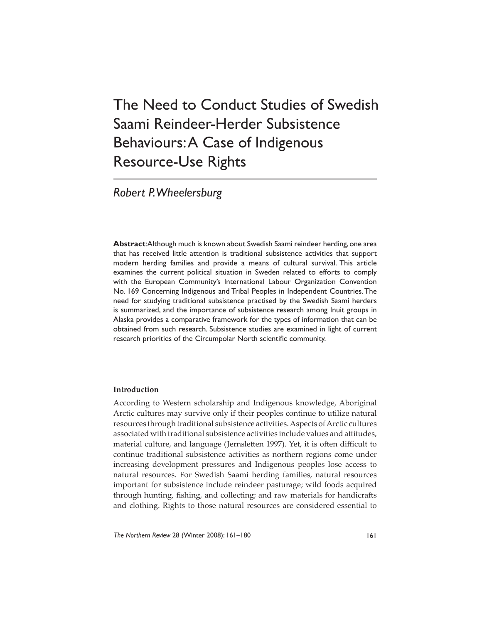# The Need to Conduct Studies of Swedish Saami Reindeer-Herder Subsistence Behaviours: A Case of Indigenous Resource-Use Rights

# *Robert P. Wheelersburg*

**Abstract**: Although much is known about Swedish Saami reindeer herding, one area that has received little attention is traditional subsistence activities that support modern herding families and provide a means of cultural survival. This article examines the current political situation in Sweden related to efforts to comply with the European Community's International Labour Organization Convention No. 169 Concerning Indigenous and Tribal Peoples in Independent Countries. The need for studying traditional subsistence practised by the Swedish Saami herders is summarized, and the importance of subsistence research among Inuit groups in Alaska provides a comparative framework for the types of information that can be obtained from such research. Subsistence studies are examined in light of current research priorities of the Circumpolar North scientific community.

# **Introduction**

According to Western scholarship and Indigenous knowledge, Aboriginal Arctic cultures may survive only if their peoples continue to utilize natural resources through traditional subsistence activities. Aspects of Arctic cultures associated with traditional subsistence activities include values and attitudes. material culture, and language (Jernsletten 1997). Yet, it is often difficult to continue traditional subsistence activities as northern regions come under increasing development pressures and Indigenous peoples lose access to natural resources. For Swedish Saami herding families, natural resources important for subsistence include reindeer pasturage; wild foods acquired through hunting, fishing, and collecting; and raw materials for handicrafts and clothing. Rights to those natural resources are considered essential to

*The Northern Review* 28 (Winter 2008): 161–180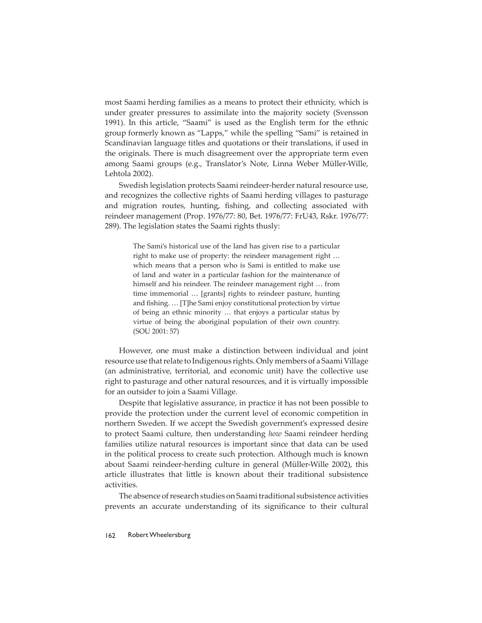most Saami herding families as a means to protect their ethnicity, which is under greater pressures to assimilate into the majority society (Svensson 1991). In this article, "Saami" is used as the English term for the ethnic group formerly known as "Lapps," while the spelling "Sami" is retained in Scandinavian language titles and quotations or their translations, if used in the originals. There is much disagreement over the appropriate term even among Saami groups (e.g., Translator's Note, Linna Weber Müller-Wille, Lehtola 2002).

Swedish legislation protects Saami reindeer-herder natural resource use, and recognizes the collective rights of Saami herding villages to pasturage and migration routes, hunting, fishing, and collecting associated with reindeer management (Prop. 1976/77: 80, Bet. 1976/77: FrU43, Rskr. 1976/77: 289). The legislation states the Saami rights thusly:

> The Sami's historical use of the land has given rise to a particular right to make use of property: the reindeer management right … which means that a person who is Sami is entitled to make use of land and water in a particular fashion for the maintenance of himself and his reindeer. The reindeer management right … from time immemorial … [grants] rights to reindeer pasture, hunting and fishing. ... [T]he Sami enjoy constitutional protection by virtue of being an ethnic minority … that enjoys a particular status by virtue of being the aboriginal population of their own country. (SOU 2001: 57)

However, one must make a distinction between individual and joint resource use that relate to Indigenous rights. Only members of a Saami Village (an administrative, territorial, and economic unit) have the collective use right to pasturage and other natural resources, and it is virtually impossible for an outsider to join a Saami Village.

Despite that legislative assurance, in practice it has not been possible to provide the protection under the current level of economic competition in northern Sweden. If we accept the Swedish government's expressed desire to protect Saami culture, then understanding *how* Saami reindeer herding families utilize natural resources is important since that data can be used in the political process to create such protection. Although much is known about Saami reindeer-herding culture in general (Müller-Wille 2002), this article illustrates that little is known about their traditional subsistence activities.

The absence of research studies on Saami traditional subsistence activities prevents an accurate understanding of its significance to their cultural

#### 162 Robert Wheelersburg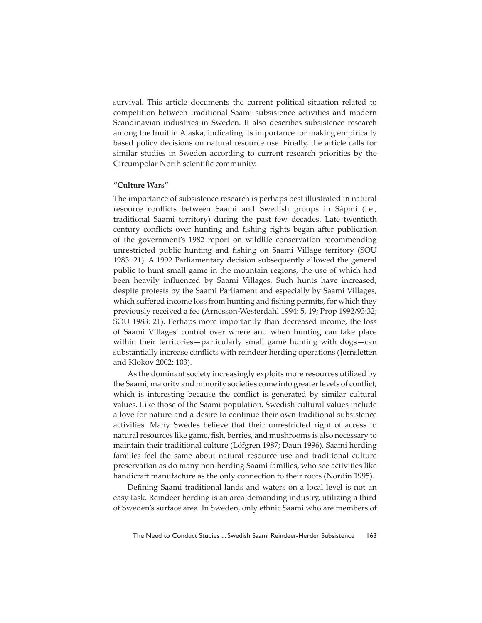survival. This article documents the current political situation related to competition between traditional Saami subsistence activities and modern Scandinavian industries in Sweden. It also describes subsistence research among the Inuit in Alaska, indicating its importance for making empirically based policy decisions on natural resource use. Finally, the article calls for similar studies in Sweden according to current research priorities by the Circumpolar North scientific community.

#### **"Culture Wars"**

The importance of subsistence research is perhaps best illustrated in natural resource conflicts between Saami and Swedish groups in Sápmi (i.e., traditional Saami territory) during the past few decades. Late twentieth century conflicts over hunting and fishing rights began after publication of the government's 1982 report on wildlife conservation recommending unrestricted public hunting and fishing on Saami Village territory (SOU 1983: 21). A 1992 Parliamentary decision subsequently allowed the general public to hunt small game in the mountain regions, the use of which had been heavily influenced by Saami Villages. Such hunts have increased, despite protests by the Saami Parliament and especially by Saami Villages, which suffered income loss from hunting and fishing permits, for which they previously received a fee (Arnesson-Westerdahl 1994: 5, 19; Prop 1992/93:32; SOU 1983: 21). Perhaps more importantly than decreased income, the loss of Saami Villages' control over where and when hunting can take place within their territories—particularly small game hunting with dogs—can substantially increase conflicts with reindeer herding operations (Jernsletten and Klokov 2002: 103).

As the dominant society increasingly exploits more resources utilized by the Saami, majority and minority societies come into greater levels of conflict, which is interesting because the conflict is generated by similar cultural values. Like those of the Saami population, Swedish cultural values include a love for nature and a desire to continue their own traditional subsistence activities. Many Swedes believe that their unrestricted right of access to natural resources like game, fish, berries, and mushrooms is also necessary to maintain their traditional culture (Löfgren 1987; Daun 1996). Saami herding families feel the same about natural resource use and traditional culture preservation as do many non-herding Saami families, who see activities like handicraft manufacture as the only connection to their roots (Nordin 1995).

Defining Saami traditional lands and waters on a local level is not an easy task. Reindeer herding is an area-demanding industry, utilizing a third of Sweden's surface area. In Sweden, only ethnic Saami who are members of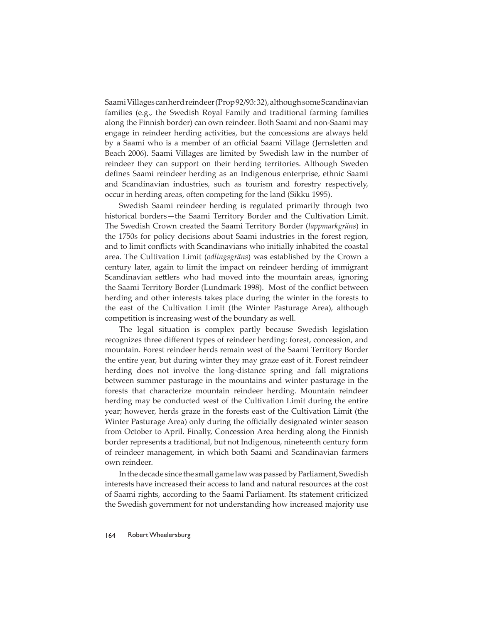Saami Villages can herd reindeer (Prop 92/93: 32), although some Scandinavian families (e.g., the Swedish Royal Family and traditional farming families along the Finnish border) can own reindeer. Both Saami and non-Saami may engage in reindeer herding activities, but the concessions are always held by a Saami who is a member of an official Saami Village (Jernsletten and Beach 2006). Saami Villages are limited by Swedish law in the number of reindeer they can support on their herding territories. Although Sweden defines Saami reindeer herding as an Indigenous enterprise, ethnic Saami and Scandinavian industries, such as tourism and forestry respectively, occur in herding areas, often competing for the land (Sikku 1995).

Swedish Saami reindeer herding is regulated primarily through two historical borders—the Saami Territory Border and the Cultivation Limit. The Swedish Crown created the Saami Territory Border (*lappmarkgräns*) in the 1750s for policy decisions about Saami industries in the forest region, and to limit conflicts with Scandinavians who initially inhabited the coastal area. The Cultivation Limit (*odlingsgräns*) was established by the Crown a century later, again to limit the impact on reindeer herding of immigrant Scandinavian settlers who had moved into the mountain areas, ignoring the Saami Territory Border (Lundmark 1998). Most of the conflict between herding and other interests takes place during the winter in the forests to the east of the Cultivation Limit (the Winter Pasturage Area), although competition is increasing west of the boundary as well.

The legal situation is complex partly because Swedish legislation recognizes three different types of reindeer herding: forest, concession, and mountain. Forest reindeer herds remain west of the Saami Territory Border the entire year, but during winter they may graze east of it. Forest reindeer herding does not involve the long-distance spring and fall migrations between summer pasturage in the mountains and winter pasturage in the forests that characterize mountain reindeer herding. Mountain reindeer herding may be conducted west of the Cultivation Limit during the entire year; however, herds graze in the forests east of the Cultivation Limit (the Winter Pasturage Area) only during the officially designated winter season from October to April. Finally, Concession Area herding along the Finnish border represents a traditional, but not Indigenous, nineteenth century form of reindeer management, in which both Saami and Scandinavian farmers own reindeer.

In the decade since the small game law was passed by Parliament, Swedish interests have increased their access to land and natural resources at the cost of Saami rights, according to the Saami Parliament. Its statement criticized the Swedish government for not understanding how increased majority use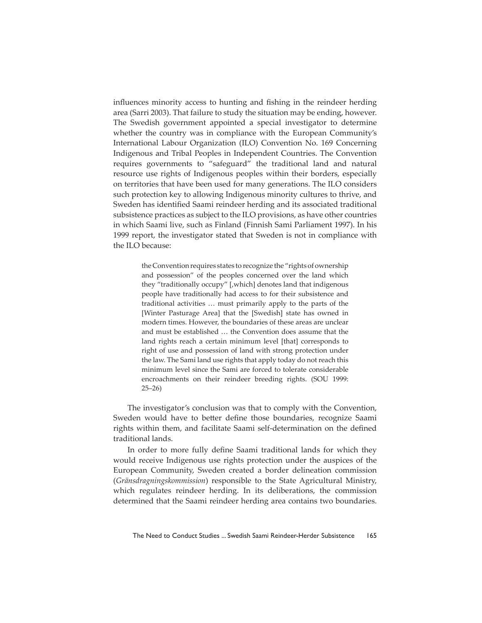influences minority access to hunting and fishing in the reindeer herding area (Sarri 2003). That failure to study the situation may be ending, however. The Swedish government appointed a special investigator to determine whether the country was in compliance with the European Community's International Labour Organization (ILO) Convention No. 169 Concerning Indigenous and Tribal Peoples in Independent Countries. The Convention requires governments to "safeguard" the traditional land and natural resource use rights of Indigenous peoples within their borders, especially on territories that have been used for many generations. The ILO considers such protection key to allowing Indigenous minority cultures to thrive, and Sweden has identified Saami reindeer herding and its associated traditional subsistence practices as subject to the ILO provisions, as have other countries in which Saami live, such as Finland (Finnish Sami Parliament 1997). In his 1999 report, the investigator stated that Sweden is not in compliance with the ILO because:

> the Convention requires states to recognize the "rights of ownership and possession" of the peoples concerned over the land which they "traditionally occupy" [,which] denotes land that indigenous people have traditionally had access to for their subsistence and traditional activities … must primarily apply to the parts of the [Winter Pasturage Area] that the [Swedish] state has owned in modern times. However, the boundaries of these areas are unclear and must be established … the Convention does assume that the land rights reach a certain minimum level [that] corresponds to right of use and possession of land with strong protection under the law. The Sami land use rights that apply today do not reach this minimum level since the Sami are forced to tolerate considerable encroachments on their reindeer breeding rights. (SOU 1999: 25–26)

The investigator's conclusion was that to comply with the Convention, Sweden would have to better define those boundaries, recognize Saami rights within them, and facilitate Saami self-determination on the defined traditional lands.

In order to more fully define Saami traditional lands for which they would receive Indigenous use rights protection under the auspices of the European Community, Sweden created a border delineation commission (*Gränsdragningskommission*) responsible to the State Agricultural Ministry, which regulates reindeer herding. In its deliberations, the commission determined that the Saami reindeer herding area contains two boundaries.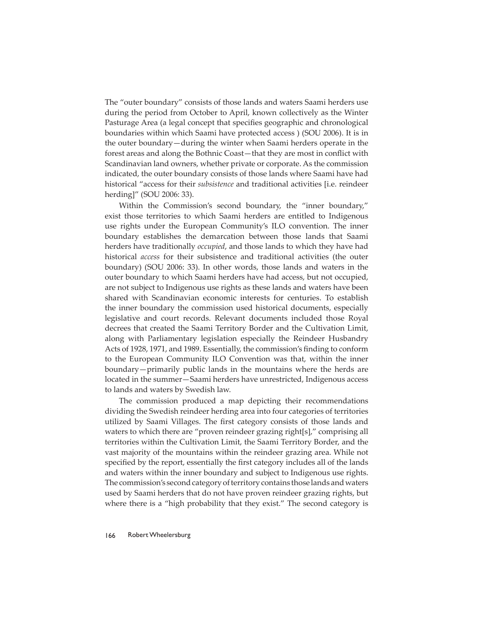The "outer boundary" consists of those lands and waters Saami herders use during the period from October to April, known collectively as the Winter Pasturage Area (a legal concept that specifies geographic and chronological boundaries within which Saami have protected access ) (SOU 2006). It is in the outer boundary—during the winter when Saami herders operate in the forest areas and along the Bothnic Coast—that they are most in conflict with Scandinavian land owners, whether private or corporate. As the commission indicated, the outer boundary consists of those lands where Saami have had historical "access for their *subsistence* and traditional activities [i.e. reindeer herding]" (SOU 2006: 33).

Within the Commission's second boundary, the "inner boundary," exist those territories to which Saami herders are entitled to Indigenous use rights under the European Community's ILO convention. The inner boundary establishes the demarcation between those lands that Saami herders have traditionally *occupied*, and those lands to which they have had historical *access* for their subsistence and traditional activities (the outer boundary) (SOU 2006: 33). In other words, those lands and waters in the outer boundary to which Saami herders have had access, but not occupied, are not subject to Indigenous use rights as these lands and waters have been shared with Scandinavian economic interests for centuries. To establish the inner boundary the commission used historical documents, especially legislative and court records. Relevant documents included those Royal decrees that created the Saami Territory Border and the Cultivation Limit, along with Parliamentary legislation especially the Reindeer Husbandry Acts of 1928, 1971, and 1989. Essentially, the commission's finding to conform to the European Community ILO Convention was that, within the inner boundary—primarily public lands in the mountains where the herds are located in the summer—Saami herders have unrestricted, Indigenous access to lands and waters by Swedish law.

The commission produced a map depicting their recommendations dividing the Swedish reindeer herding area into four categories of territories utilized by Saami Villages. The first category consists of those lands and waters to which there are "proven reindeer grazing right[s]," comprising all territories within the Cultivation Limit, the Saami Territory Border, and the vast majority of the mountains within the reindeer grazing area. While not specified by the report, essentially the first category includes all of the lands and waters within the inner boundary and subject to Indigenous use rights. The commission's second category of territory contains those lands and waters used by Saami herders that do not have proven reindeer grazing rights, but where there is a "high probability that they exist." The second category is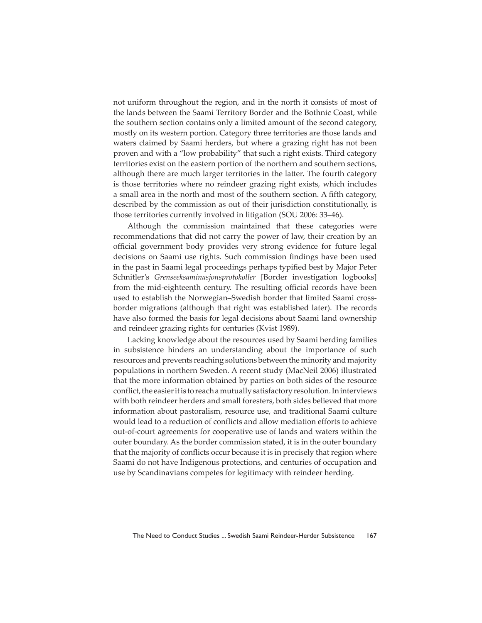not uniform throughout the region, and in the north it consists of most of the lands between the Saami Territory Border and the Bothnic Coast, while the southern section contains only a limited amount of the second category, mostly on its western portion. Category three territories are those lands and waters claimed by Saami herders, but where a grazing right has not been proven and with a "low probability" that such a right exists. Third category territories exist on the eastern portion of the northern and southern sections, although there are much larger territories in the latter. The fourth category is those territories where no reindeer grazing right exists, which includes a small area in the north and most of the southern section. A fifth category, described by the commission as out of their jurisdiction constitutionally, is those territories currently involved in litigation (SOU 2006: 33–46).

Although the commission maintained that these categories were recommendations that did not carry the power of law, their creation by an official government body provides very strong evidence for future legal decisions on Saami use rights. Such commission findings have been used in the past in Saami legal proceedings perhaps typified best by Major Peter Schnitler's *Grenseeksaminasjonsprotokoller* [Border investigation logbooks] from the mid-eighteenth century. The resulting official records have been used to establish the Norwegian–Swedish border that limited Saami crossborder migrations (although that right was established later). The records have also formed the basis for legal decisions about Saami land ownership and reindeer grazing rights for centuries (Kvist 1989).

Lacking knowledge about the resources used by Saami herding families in subsistence hinders an understanding about the importance of such resources and prevents reaching solutions between the minority and majority populations in northern Sweden. A recent study (MacNeil 2006) illustrated that the more information obtained by parties on both sides of the resource conflict, the easier it is to reach a mutually satisfactory resolution. In interviews with both reindeer herders and small foresters, both sides believed that more information about pastoralism, resource use, and traditional Saami culture would lead to a reduction of conflicts and allow mediation efforts to achieve out-of-court agreements for cooperative use of lands and waters within the outer boundary. As the border commission stated, it is in the outer boundary that the majority of conflicts occur because it is in precisely that region where Saami do not have Indigenous protections, and centuries of occupation and use by Scandinavians competes for legitimacy with reindeer herding.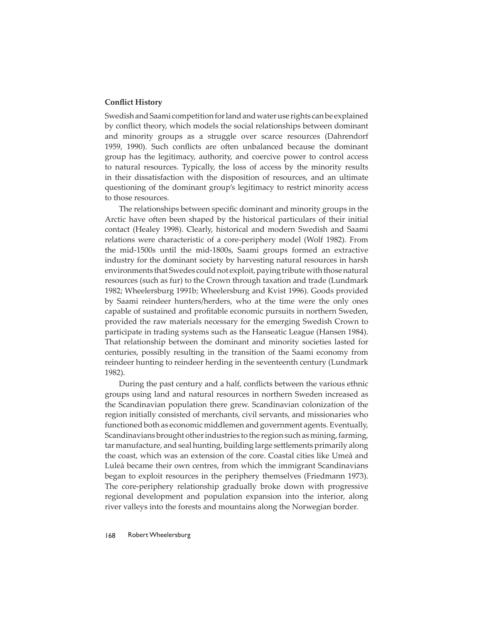# **Conflict History**

Swedish and Saami competition for land and water use rights can be explained by conflict theory, which models the social relationships between dominant and minority groups as a struggle over scarce resources (Dahrendorf 1959, 1990). Such conflicts are often unbalanced because the dominant group has the legitimacy, authority, and coercive power to control access to natural resources. Typically, the loss of access by the minority results in their dissatisfaction with the disposition of resources, and an ultimate questioning of the dominant group's legitimacy to restrict minority access to those resources.

The relationships between specific dominant and minority groups in the Arctic have often been shaped by the historical particulars of their initial contact (Healey 1998). Clearly, historical and modern Swedish and Saami relations were characteristic of a core-periphery model (Wolf 1982). From the mid-1500s until the mid-1800s, Saami groups formed an extractive industry for the dominant society by harvesting natural resources in harsh environments that Swedes could not exploit, paying tribute with those natural resources (such as fur) to the Crown through taxation and trade (Lundmark 1982; Wheelersburg 1991b; Wheelersburg and Kvist 1996). Goods provided by Saami reindeer hunters/herders, who at the time were the only ones capable of sustained and profitable economic pursuits in northern Sweden, provided the raw materials necessary for the emerging Swedish Crown to participate in trading systems such as the Hanseatic League (Hansen 1984). That relationship between the dominant and minority societies lasted for centuries, possibly resulting in the transition of the Saami economy from reindeer hunting to reindeer herding in the seventeenth century (Lundmark 1982).

During the past century and a half, conflicts between the various ethnic groups using land and natural resources in northern Sweden increased as the Scandinavian population there grew. Scandinavian colonization of the region initially consisted of merchants, civil servants, and missionaries who functioned both as economic middlemen and government agents. Eventually, Scandinavians brought other industries to the region such as mining, farming, tar manufacture, and seal hunting, building large settlements primarily along the coast, which was an extension of the core. Coastal cities like Umeå and Luleå became their own centres, from which the immigrant Scandinavians began to exploit resources in the periphery themselves (Friedmann 1973). The core-periphery relationship gradually broke down with progressive regional development and population expansion into the interior, along river valleys into the forests and mountains along the Norwegian border.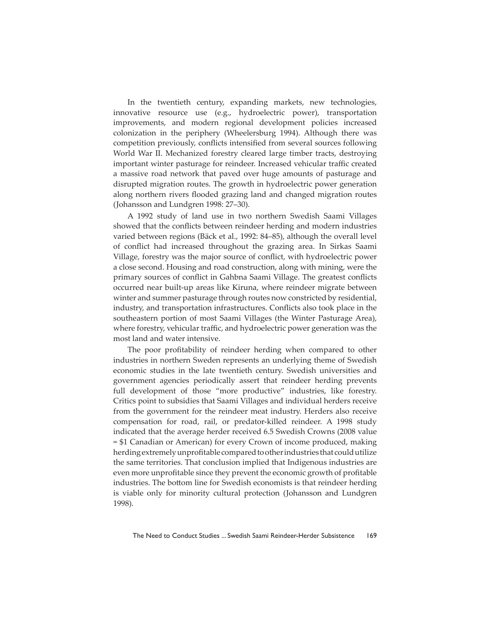In the twentieth century, expanding markets, new technologies, innovative resource use (e.g., hydroelectric power), transportation improvements, and modern regional development policies increased colonization in the periphery (Wheelersburg 1994). Although there was competition previously, conflicts intensified from several sources following World War II. Mechanized forestry cleared large timber tracts, destroying important winter pasturage for reindeer. Increased vehicular traffic created a massive road network that paved over huge amounts of pasturage and disrupted migration routes. The growth in hydroelectric power generation along northern rivers flooded grazing land and changed migration routes (Johansson and Lundgren 1998: 27–30).

A 1992 study of land use in two northern Swedish Saami Villages showed that the conflicts between reindeer herding and modern industries varied between regions (Bäck et al., 1992: 84–85), although the overall level of conflict had increased throughout the grazing area. In Sirkas Saami Village, forestry was the major source of conflict, with hydroelectric power a close second. Housing and road construction, along with mining, were the primary sources of conflict in Gahbna Saami Village. The greatest conflicts occurred near built-up areas like Kiruna, where reindeer migrate between winter and summer pasturage through routes now constricted by residential, industry, and transportation infrastructures. Conflicts also took place in the southeastern portion of most Saami Villages (the Winter Pasturage Area), where forestry, vehicular traffic, and hydroelectric power generation was the most land and water intensive.

The poor profitability of reindeer herding when compared to other industries in northern Sweden represents an underlying theme of Swedish economic studies in the late twentieth century. Swedish universities and government agencies periodically assert that reindeer herding prevents full development of those "more productive" industries, like forestry. Critics point to subsidies that Saami Villages and individual herders receive from the government for the reindeer meat industry. Herders also receive compensation for road, rail, or predator-killed reindeer. A 1998 study indicated that the average herder received 6.5 Swedish Crowns (2008 value = \$1 Canadian or American) for every Crown of income produced, making herding extremely unprofitable compared to other industries that could utilize the same territories. That conclusion implied that Indigenous industries are even more unprofitable since they prevent the economic growth of profitable industries. The bottom line for Swedish economists is that reindeer herding is viable only for minority cultural protection (Johansson and Lundgren 1998).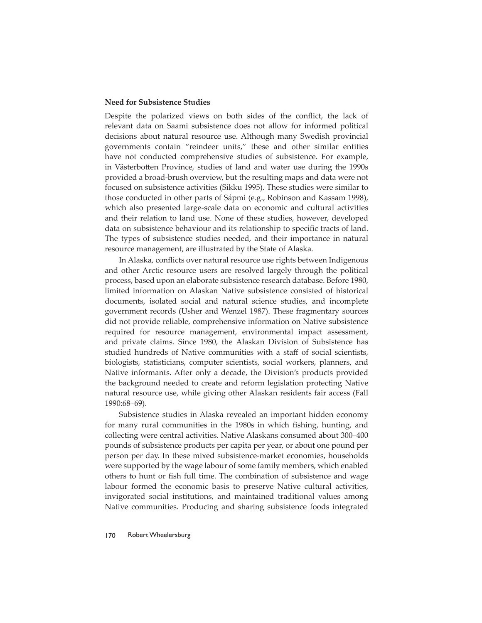## **Need for Subsistence Studies**

Despite the polarized views on both sides of the conflict, the lack of relevant data on Saami subsistence does not allow for informed political decisions about natural resource use. Although many Swedish provincial governments contain "reindeer units," these and other similar entities have not conducted comprehensive studies of subsistence. For example, in Västerbotten Province, studies of land and water use during the 1990s provided a broad-brush overview, but the resulting maps and data were not focused on subsistence activities (Sikku 1995). These studies were similar to those conducted in other parts of Sápmi (e.g., Robinson and Kassam 1998), which also presented large-scale data on economic and cultural activities and their relation to land use. None of these studies, however, developed data on subsistence behaviour and its relationship to specific tracts of land. The types of subsistence studies needed, and their importance in natural resource management, are illustrated by the State of Alaska.

In Alaska, conflicts over natural resource use rights between Indigenous and other Arctic resource users are resolved largely through the political process, based upon an elaborate subsistence research database. Before 1980, limited information on Alaskan Native subsistence consisted of historical documents, isolated social and natural science studies, and incomplete government records (Usher and Wenzel 1987). These fragmentary sources did not provide reliable, comprehensive information on Native subsistence required for resource management, environmental impact assessment, and private claims. Since 1980, the Alaskan Division of Subsistence has studied hundreds of Native communities with a staff of social scientists, biologists, statisticians, computer scientists, social workers, planners, and Native informants. After only a decade, the Division's products provided the background needed to create and reform legislation protecting Native natural resource use, while giving other Alaskan residents fair access (Fall 1990:68–69).

Subsistence studies in Alaska revealed an important hidden economy for many rural communities in the 1980s in which fishing, hunting, and collecting were central activities. Native Alaskans consumed about 300–400 pounds of subsistence products per capita per year, or about one pound per person per day. In these mixed subsistence-market economies, households were supported by the wage labour of some family members, which enabled others to hunt or fish full time. The combination of subsistence and wage labour formed the economic basis to preserve Native cultural activities, invigorated social institutions, and maintained traditional values among Native communities. Producing and sharing subsistence foods integrated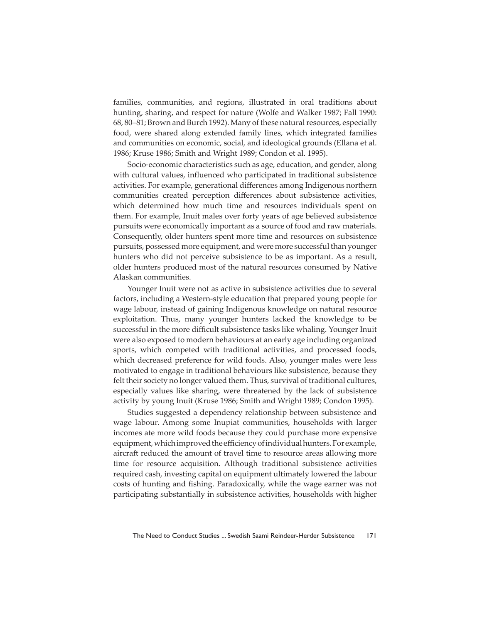families, communities, and regions, illustrated in oral traditions about hunting, sharing, and respect for nature (Wolfe and Walker 1987; Fall 1990: 68, 80–81; Brown and Burch 1992). Many of these natural resources, especially food, were shared along extended family lines, which integrated families and communities on economic, social, and ideological grounds (Ellana et al. 1986; Kruse 1986; Smith and Wright 1989; Condon et al. 1995).

Socio-economic characteristics such as age, education, and gender, along with cultural values, influenced who participated in traditional subsistence activities. For example, generational differences among Indigenous northern communities created perception differences about subsistence activities, which determined how much time and resources individuals spent on them. For example, Inuit males over forty years of age believed subsistence pursuits were economically important as a source of food and raw materials. Consequently, older hunters spent more time and resources on subsistence pursuits, possessed more equipment, and were more successful than younger hunters who did not perceive subsistence to be as important. As a result, older hunters produced most of the natural resources consumed by Native Alaskan communities.

Younger Inuit were not as active in subsistence activities due to several factors, including a Western-style education that prepared young people for wage labour, instead of gaining Indigenous knowledge on natural resource exploitation. Thus, many younger hunters lacked the knowledge to be successful in the more difficult subsistence tasks like whaling. Younger Inuit were also exposed to modern behaviours at an early age including organized sports, which competed with traditional activities, and processed foods, which decreased preference for wild foods. Also, younger males were less motivated to engage in traditional behaviours like subsistence, because they felt their society no longer valued them. Thus, survival of traditional cultures, especially values like sharing, were threatened by the lack of subsistence activity by young Inuit (Kruse 1986; Smith and Wright 1989; Condon 1995).

Studies suggested a dependency relationship between subsistence and wage labour. Among some Inupiat communities, households with larger incomes ate more wild foods because they could purchase more expensive equipment, which improved the efficiency of individual hunters. For example, aircraft reduced the amount of travel time to resource areas allowing more time for resource acquisition. Although traditional subsistence activities required cash, investing capital on equipment ultimately lowered the labour costs of hunting and fishing. Paradoxically, while the wage earner was not participating substantially in subsistence activities, households with higher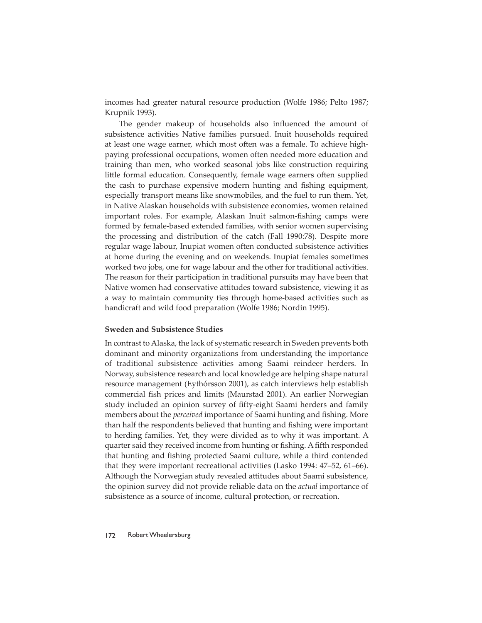incomes had greater natural resource production (Wolfe 1986; Pelto 1987; Krupnik 1993).

The gender makeup of households also influenced the amount of subsistence activities Native families pursued. Inuit households required at least one wage earner, which most often was a female. To achieve highpaying professional occupations, women often needed more education and training than men, who worked seasonal jobs like construction requiring little formal education. Consequently, female wage earners often supplied the cash to purchase expensive modern hunting and fishing equipment, especially transport means like snowmobiles, and the fuel to run them. Yet, in Native Alaskan households with subsistence economies, women retained important roles. For example, Alaskan Inuit salmon-fishing camps were formed by female-based extended families, with senior women supervising the processing and distribution of the catch (Fall 1990:78). Despite more regular wage labour, Inupiat women often conducted subsistence activities at home during the evening and on weekends. Inupiat females sometimes worked two jobs, one for wage labour and the other for traditional activities. The reason for their participation in traditional pursuits may have been that Native women had conservative attitudes toward subsistence, viewing it as a way to maintain community ties through home-based activities such as handicraft and wild food preparation (Wolfe 1986; Nordin 1995).

## **Sweden and Subsistence Studies**

In contrast to Alaska, the lack of systematic research in Sweden prevents both dominant and minority organizations from understanding the importance of traditional subsistence activities among Saami reindeer herders. In Norway, subsistence research and local knowledge are helping shape natural resource management (Eythórsson 2001), as catch interviews help establish commercial fish prices and limits (Maurstad 2001). An earlier Norwegian study included an opinion survey of fifty-eight Saami herders and family members about the *perceived* importance of Saami hunting and fishing. More than half the respondents believed that hunting and fi shing were important to herding families. Yet, they were divided as to why it was important. A quarter said they received income from hunting or fishing. A fifth responded that hunting and fishing protected Saami culture, while a third contended that they were important recreational activities (Lasko 1994: 47–52, 61–66). Although the Norwegian study revealed attitudes about Saami subsistence, the opinion survey did not provide reliable data on the *actual* importance of subsistence as a source of income, cultural protection, or recreation.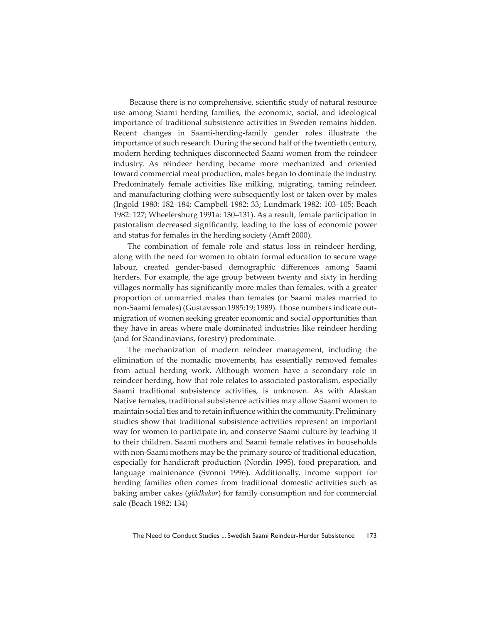Because there is no comprehensive, scientific study of natural resource use among Saami herding families, the economic, social, and ideological importance of traditional subsistence activities in Sweden remains hidden. Recent changes in Saami-herding-family gender roles illustrate the importance of such research. During the second half of the twentieth century, modern herding techniques disconnected Saami women from the reindeer industry. As reindeer herding became more mechanized and oriented toward commercial meat production, males began to dominate the industry. Predominately female activities like milking, migrating, taming reindeer, and manufacturing clothing were subsequently lost or taken over by males (Ingold 1980: 182–184; Campbell 1982: 33; Lundmark 1982: 103–105; Beach 1982: 127; Wheelersburg 1991a: 130–131). As a result, female participation in pastoralism decreased significantly, leading to the loss of economic power and status for females in the herding society (Amft 2000).

The combination of female role and status loss in reindeer herding, along with the need for women to obtain formal education to secure wage labour, created gender-based demographic differences among Saami herders. For example, the age group between twenty and sixty in herding villages normally has significantly more males than females, with a greater proportion of unmarried males than females (or Saami males married to non-Saami females) (Gustavsson 1985:19; 1989). Those numbers indicate outmigration of women seeking greater economic and social opportunities than they have in areas where male dominated industries like reindeer herding (and for Scandinavians, forestry) predominate.

The mechanization of modern reindeer management, including the elimination of the nomadic movements, has essentially removed females from actual herding work. Although women have a secondary role in reindeer herding, how that role relates to associated pastoralism, especially Saami traditional subsistence activities, is unknown. As with Alaskan Native females, traditional subsistence activities may allow Saami women to maintain social ties and to retain influence within the community. Preliminary studies show that traditional subsistence activities represent an important way for women to participate in, and conserve Saami culture by teaching it to their children. Saami mothers and Saami female relatives in households with non-Saami mothers may be the primary source of traditional education, especially for handicraft production (Nordin 1995), food preparation, and language maintenance (Svonni 1996). Additionally, income support for herding families often comes from traditional domestic activities such as baking amber cakes (*glödkakor*) for family consumption and for commercial sale (Beach 1982: 134)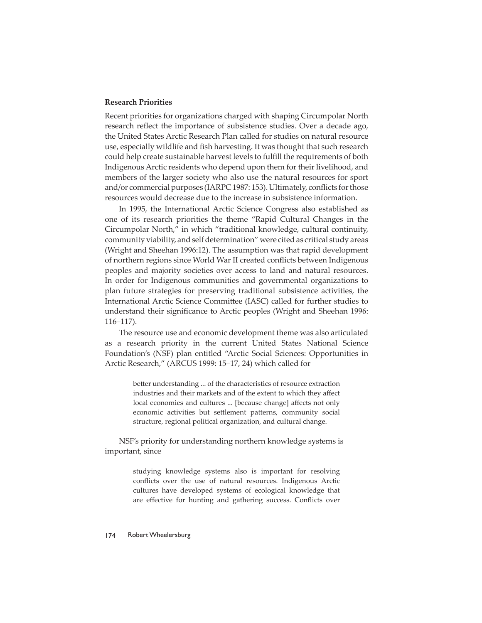# **Research Priorities**

Recent priorities for organizations charged with shaping Circumpolar North research reflect the importance of subsistence studies. Over a decade ago, the United States Arctic Research Plan called for studies on natural resource use, especially wildlife and fish harvesting. It was thought that such research could help create sustainable harvest levels to fulfill the requirements of both Indigenous Arctic residents who depend upon them for their livelihood, and members of the larger society who also use the natural resources for sport and/or commercial purposes (IARPC 1987: 153). Ultimately, conflicts for those resources would decrease due to the increase in subsistence information.

In 1995, the International Arctic Science Congress also established as one of its research priorities the theme "Rapid Cultural Changes in the Circumpolar North," in which "traditional knowledge, cultural continuity, community viability, and self determination" were cited as critical study areas (Wright and Sheehan 1996:12). The assumption was that rapid development of northern regions since World War II created conflicts between Indigenous peoples and majority societies over access to land and natural resources. In order for Indigenous communities and governmental organizations to plan future strategies for preserving traditional subsistence activities, the International Arctic Science Committee (IASC) called for further studies to understand their significance to Arctic peoples (Wright and Sheehan 1996: 116–117).

The resource use and economic development theme was also articulated as a research priority in the current United States National Science Foundation's (NSF) plan entitled "Arctic Social Sciences: Opportunities in Arctic Research," (ARCUS 1999: 15–17, 24) which called for

> better understanding ... of the characteristics of resource extraction industries and their markets and of the extent to which they affect local economies and cultures ... [because change] affects not only economic activities but settlement patterns, community social structure, regional political organization, and cultural change.

NSF's priority for understanding northern knowledge systems is important, since

> studying knowledge systems also is important for resolving conflicts over the use of natural resources. Indigenous Arctic cultures have developed systems of ecological knowledge that are effective for hunting and gathering success. Conflicts over

#### 174 Robert Wheelersburg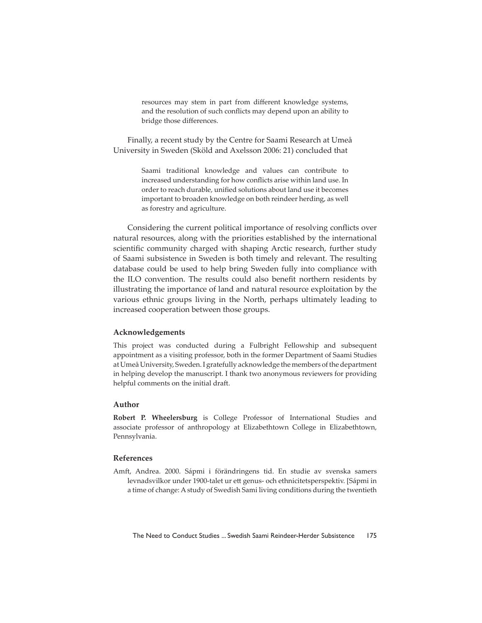resources may stem in part from different knowledge systems, and the resolution of such conflicts may depend upon an ability to bridge those differences.

Finally, a recent study by the Centre for Saami Research at Umeå University in Sweden (Sköld and Axelsson 2006: 21) concluded that

> Saami traditional knowledge and values can contribute to increased understanding for how conflicts arise within land use. In order to reach durable, unified solutions about land use it becomes important to broaden knowledge on both reindeer herding, as well as forestry and agriculture.

Considering the current political importance of resolving conflicts over natural resources, along with the priorities established by the international scientific community charged with shaping Arctic research, further study of Saami subsistence in Sweden is both timely and relevant. The resulting database could be used to help bring Sweden fully into compliance with the ILO convention. The results could also benefit northern residents by illustrating the importance of land and natural resource exploitation by the various ethnic groups living in the North, perhaps ultimately leading to increased cooperation between those groups.

# **Acknowledgements**

This project was conducted during a Fulbright Fellowship and subsequent appointment as a visiting professor, both in the former Department of Saami Studies at Umeå University, Sweden. I gratefully acknowledge the members of the department in helping develop the manuscript. I thank two anonymous reviewers for providing helpful comments on the initial draft.

#### **Author**

**Robert P. Wheelersburg** is College Professor of International Studies and associate professor of anthropology at Elizabethtown College in Elizabethtown, Pennsylvania.

#### **References**

Amft, Andrea. 2000. Sápmi i förändringens tid. En studie av svenska samers levnadsvilkor under 1900-talet ur ett genus- och ethnicitetsperspektiv. [Sápmi in a time of change: A study of Swedish Sami living conditions during the twentieth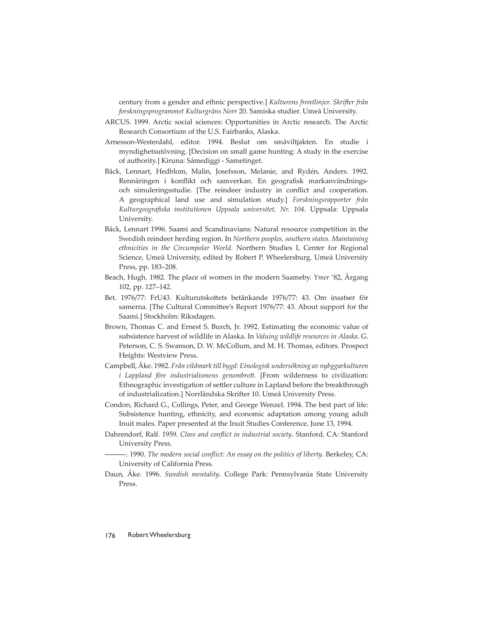century from a gender and ethnic perspective.] *Kulturens frontlinjer. Skrifter från forskningsprogrammet Kulturgräns Norr* 20. Samiska studier. Umeå University.

- ARCUS. 1999. Arctic social sciences: Opportunities in Arctic research. The Arctic Research Consortium of the U.S. Fairbanks, Alaska.
- Arnesson-Westerdahl, editor. 1994. Beslut om småviltjakten. En studie i myndighetsutövning. [Decision on small game hunting: A study in the exercise of authority.] Kiruna: Sámediggi - Sametinget.
- Bäck, Lennart, Hedblom, Malin, Josefsson, Melanie, and Rydén, Anders. 1992. Rennäringen i konflikt och samverkan. En geografisk markanvändningsoch simuleringsstudie. [The reindeer industry in conflict and cooperation. A geographical land use and simulation study.] *Forskningsrapporter från*  Kulturgeografiska institutionen Uppsala universitet, Nr. 104. Uppsala: Uppsala University.
- Bäck, Lennart 1996. Saami and Scandinavians: Natural resource competition in the Swedish reindeer herding region. In *Northern peoples, southern states. Maintaining ethnicities in the Circumpolar World*. Northern Studies I, Center for Regional Science, Umeå University, edited by Robert P. Wheelersburg. Umeå University Press, pp. 183–208.
- Beach, Hugh. 1982. The place of women in the modern Saameby. *Ymer* '82, Årgang 102, pp. 127–142.
- Bet. 1976/77: FrU43. Kulturutskottets betänkande 1976/77: 43. Om insatser för samerna. [The Cultural Committee's Report 1976/77: 43. About support for the Saami.] Stockholm: Riksdagen.
- Brown, Thomas C. and Ernest S. Burch, Jr. 1992. Estimating the economic value of subsistence harvest of wildlife in Alaska. In *Valuing wildlife resources in Alaska*. G. Peterson, C. S. Swanson, D. W. McCollum, and M. H. Thomas, editors. Prospect Heights: Westview Press.
- Campbell, Åke. 1982. *Från vildmark till bygd: Etnologisk undersökning av nybggarkulturen i Lappland före industrialismens genombrott*. [From wilderness to civilization: Ethnographic investigation of settler culture in Lapland before the breakthrough of industrialization.] Norrländska Skrifter 10. Umeå University Press.
- Condon, Richard G., Collings, Peter, and George Wenzel. 1994. The best part of life: Subsistence hunting, ethnicity, and economic adaptation among young adult Inuit males. Paper presented at the Inuit Studies Conference, June 13, 1994.
- Dahrendorf, Ralf. 1959. *Class and conflict in industrial society*. Stanford, CA: Stanford University Press.
	- ———. 1990. *The modern social confl ict: An essay on the politics of liberty*. Berkeley, CA: University of California Press.
- Daun, Åke. 1996. *Swedish mentality*. College Park: Pennsylvania State University Press.

#### 176 Robert Wheelersburg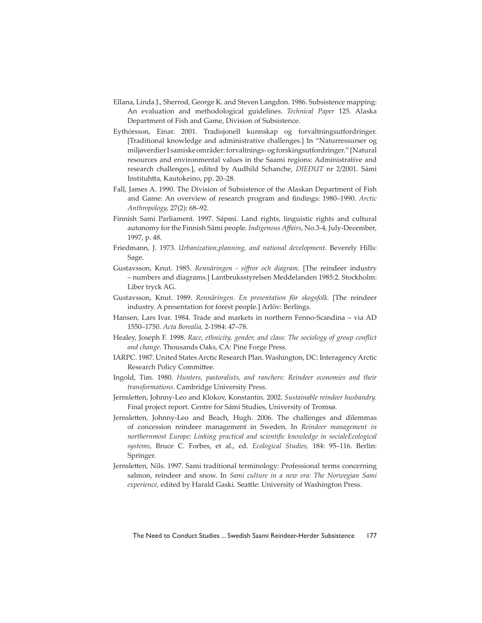- Ellana, Linda J., Sherrod, George K. and Steven Langdon. 1986. Subsistence mapping: An evaluation and methodological guidelines. *Technical Paper* 125. Alaska Department of Fish and Game, Division of Subsistence.
- Eythórsson, Einar. 2001. Tradisjonell kunnskap og forvaltningsutfordringer. [Traditional knowledge and administrative ch allenges.] In "Naturressurser og miljøverdier I samiske områder: forvaltnings- og forskingsutfordringer." [Natural resources and environmental values in the Saami regions: Administrative and research challenges.], edited by Audhild Schanche, *DIEÐUT* nr 2/2001. Sámi Instituhtta, Kautokeino, pp. 20-28.
- Fall, James A. 1990. The Division of Subsistence of the Alaskan Department of Fish and Game: An overview of research program and findings: 1980–1990. Arctic *Anthropology,* 27(2): 68–92.
- Finnish Sami Parliament. 1997. Sápmi. Land rights, linguistic rights and cultural autonomy for the Finnish Sámi people. *Indigenous Affairs*, No.3-4, July-December, 1997, p. 48.
- Friedmann, J. 1973. *Urbanization,planning, and national development*. Beverely Hills: Sage.
- Gustavsson, Knut. 1985. Rennäringen siffror och diagram. [The reindeer industry – numbers and diagrams.] Lantbruksstyrelsen Meddelanden 1985:2. Stockholm: Liber tryck AG.
- Gustavsson, Knut. 1989. *Rennäringen. En presentation f*ö*r skogsfolk.* [The reindeer industry. A presentation for forest people.] Arlöv: Berlings.
- Hansen, Lars Ivar. 1984. Trade and markets in northern Fenno-Scandina via AD 1550–1750. *Acta Borealia,* 2-1984: 47–78.
- Healey, Joseph F. 1998. Race, ethnicity, gender, and class: The sociology of group conflict *and change*. Thousands Oaks, CA: Pine Forge Press.
- IARPC. 1987. United States Arctic Research Plan. Washington, DC: Interagency Arctic Research Policy Committee.
- Ingold, Tim. 1980. *Hunters, pastoralists, and ranchers: Reindeer economies and their transformations*. Cambridge University Press.
- Jernsletten, Johnny-Leo and Klokov, Konstantin. 2002. Sustainable reindeer husbandry. Final project report. Centre for Sámi Studies, University of Tromsø.
- Jernsletten, Johnny-Leo and Beach, Hugh. 2006. The challenges and dilemmas of concession reindeer management in Sweden. In *Reindeer management in*  northernmost Europe: Linking practical and scientific knowledge in socialeEcological *systems*, Bruce C. Forbes, et al., ed. *Ecological Studies,* 184: 95–116. Berlin: Springer.
- Jernsletten, Nils. 1997. Sami traditional terminology: Professional terms concerning salmon, reindeer and snow. In *Sami culture in a new era: The Norwegian Sami*  experience, edited by Harald Gaski. Seattle: University of Washington Press.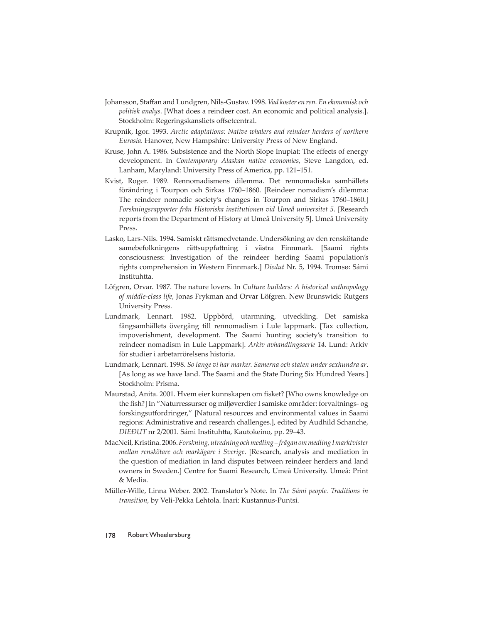- Johansson, Staffan and Lundgren, Nils-Gustav. 1998. *Vad koster en ren. En ekonomisk och politisk analys*. [What does a reindeer cost. An economic and political analysis.]. Stockholm: Regeringskansliets offsetcentral.
- Krupnik, Igor. 1993. *Arctic adaptations: Native whalers and reindeer herders of northern Eurasia.* Hanover, New Hampshire: University Press of New England.
- Kruse, John A. 1986. Subsistence and the North Slope Inupiat: The effects of energy development. In *Contemporary Alaskan native economies*, Steve Langdon, ed. Lanham, Maryland: University Press of America, pp. 121–151.
- Kvist, Roger. 1989. Rennomadismens dilemma. Det rennomadiska samhällets förändring i Tourpon och Sirkas 1760–1860. [Reindeer nomadism's dilemma: The reindeer nomadic society's changes in Tourpon and Sirkas 1760–1860.] *Forskningsrapporter från Historiska institutionen vid Umeå universitet 5*. [Research reports from the Department of History at Umeå University 5]. Umeå University Press.
- Lasko, Lars-Nils. 1994. Samiskt rättsmedvetande. Undersökning av den renskötande samebefolkningens rättsuppfattning i västra Finnmark. [Saami rights consciousness: Investigation of the reindeer herding Saami population's rights comprehension in Western Finnmark.] *Diedut* Nr. 5, 1994. Tromsø: Sámi Instituhtta.
- Löfgren, Orvar. 1987. The nature lovers. In *Culture builders: A historical anthropology of middle-class life*, Jonas Frykman and Orvar Löfgren. New Brunswick: Rutgers University Press.
- Lundmark, Lennart. 1982. Uppbörd, utarmning, utveckling. Det samiska fångsamhällets övergång till rennomadism i Lule lappmark. [Tax collection, impoverishment, development. The Saami hunting society's transition to reindeer nomadism in Lule Lappmark]. *Arkiv avhandlingsserie 14.* Lund: Arkiv för studier i arbetarrörelsens historia.
- Lundmark, Lennart. 1998. *So lange vi har marker. Samerna och staten under sexhundra ar*. [As long as we have land. The Saami and the State During Six Hundred Years.] Stockholm: Prisma.
- Maurstad, Anita. 2001. Hvem eier kunnskapen om fisket? [Who owns knowledge on the fish?] In "Naturressurser og miljøverdier I samiske områder: forvaltnings- og forskingsutfordringer," [Natural resources and environmental values in Saami regions: Administrative and research challenges.], edited by Audhild Schanche, *DIEĐUT* nr 2/2001. Sámi Instituhtta, Kautokeino, pp. 29-43.
- MacNeil, Kristina. 2006. *Forskning, utredning och medling frågan om medling I marktvister mellan renskötare och markägare i Sverige*. [Research, analysis and mediation in the question of mediation in land disputes between reindeer herders and land owners in Sweden.] Centre for Saami Research, Umeå University. Umeå: Print & Media.
- Müller-Wille, Linna Weber. 2002. Translator's Note. In *The Sámi people. Traditions in transition*, by Veli-Pekka Lehtola. Inari: Kustannus-Puntsi.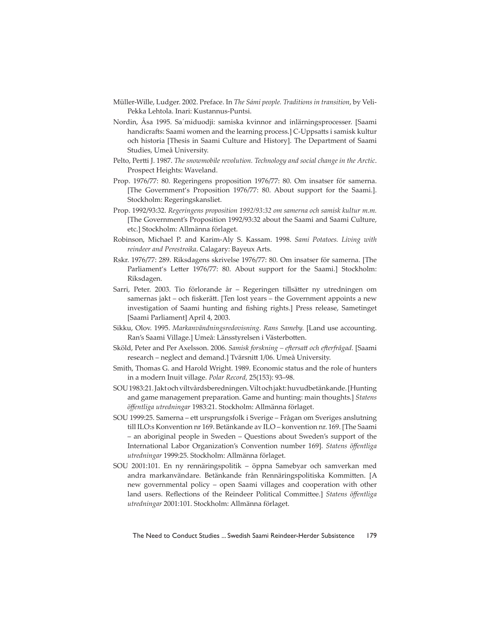- Müller-Wille, Ludger. 2002. Preface. In *The Sámi people. Traditions in transition*, by Veli-Pekka Lehtola. Inari: Kustannus-Puntsi.
- Nordin, Åsa 1995. Sa´miduodji: samiska kvinnor and inlärningsprocesser. [Saami handicrafts: Saami women and the learning process.] C-Uppsatts i samisk kultur och historia [Thesis in Saami Culture and History]. The Department of Saami Studies, Umeå University.
- Pelto, Pertti J. 1987. *The snowmobile revolution. Technology and social change in the Arctic.* Prospect Heights: Waveland.
- Prop. 1976/77: 80. Regeringens proposition 1976/77: 80. Om insatser för samerna. [The Government's Proposition 1976/77: 80. About support for the Saami.]. Stockholm: Regeringskansliet.
- Prop. 1992/93:32. *Regeringens proposition 1992/93:32 om samerna och samisk kultur m.m.* [The Government's Proposition 1992/93:32 about the Saami and Saami Culture, etc.] Stockholm: Allmänna förlaget.
- Robinson, Michael P. and Karim-Aly S. Kassam. 1998. *Sami Potatoes. Living with reindeer and Perestroika*. Calagary: Bayeux Arts.
- Rskr. 1976/77: 289. Riksdagens skrivelse 1976/77: 80. Om insatser för samerna. [The Parliament's Letter 1976/77: 80. About support for the Saami.] Stockholm: Riksdagen.
- Sarri, Peter. 2003. Tio förlorande år Regeringen tillsätter ny utredningen om samernas jakt – och fiskerätt. [Ten lost years – the Government appoints a new investigation of Saami hunting and fishing rights.] Press release, Sametinget [Saami Parliament] April 4, 2003.
- Sikku, Olov. 1995. *Markanvändningsredovisning. Rans Sameby.* [Land use accounting. Ran's Saami Village.] Umeå: Länsstyrelsen i Västerbotten.
- Sköld, Peter and Per Axelsson. 2006. *Samisk forskning eft ersatt och eft erfrågad.* [Saami research – neglect and demand.] Tvärsnitt 1/06. Umeå University.
- Smith, Thomas G. and Harold Wright. 1989. Economic status and the role of hunters in a modern Inuit village. *Polar Record,* 25(153): 93–98.
- SOU 1983:21. Jakt och viltvårdsberedningen. Vilt och jakt: huvudbetänkande. [Hunting and game management preparation. Game and hunting: main thoughts.] *Statens öff entliga utredningar* 1983:21. Stock holm: Allmänna förlaget.
- SOU 1999:25. Samerna ett ursprungsfolk i Sverige Frågan om Sveriges anslutning till ILO:s Konvention nr 169. Betänkande av ILO – konvention nr. 169. [The Saami – an aboriginal people in Sweden – Questions about Sweden's support of the International Labor Organization's Convention number 169]. *Statens öffentliga utredningar* 1999:25. Stock holm: Allmänna förlaget.
- SOU 2001:101. En ny rennäringspolitik öppna Samebyar och samverkan med andra markanvändare. Betänkande från Rennäringspolitiska Kommitten. [A new governmental policy – open Saami villages and cooperation with other land users. Reflections of the Reindeer Political Committee.] Statens öffentliga *utredningar* 2001:101. Stockholm: Allmänna förlaget.